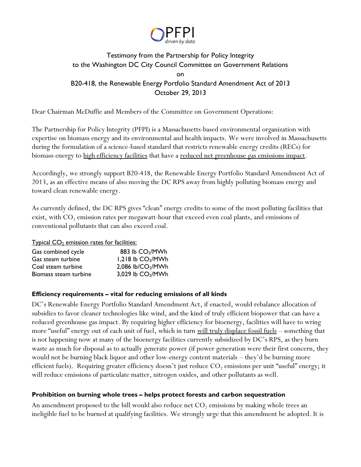

# Testimony from the Partnership for Policy Integrity to the Washington DC City Council Committee on Government Relations on B20-418, the Renewable Energy Portfolio Standard Amendment Act of 2013 October 29, 2013

Dear Chairman McDuffie and Members of the Committee on Government Operations:

The Partnership for Policy Integrity (PFPI) is a Massachusetts-based environmental organization with expertise on biomass energy and its environmental and health impacts. We were involved in Massachusetts during the formulation of a science-based standard that restricts renewable energy credits (RECs) for biomass energy to high efficiency facilities that have a reduced net greenhouse gas emissions impact.

Accordingly, we strongly support B20-418, the Renewable Energy Portfolio Standard Amendment Act of 2013, as an effective means of also moving the DC RPS away from highly polluting biomass energy and toward clean renewable energy.

As currently defined, the DC RPS gives "clean" energy credits to some of the most polluting facilities that exist, with  $CO<sub>2</sub>$  emission rates per megawatt-hour that exceed even coal plants, and emissions of conventional pollutants that can also exceed coal.

### $Ty$ pical  $CO<sub>2</sub>$  emission rates for facilities:

| Gas combined cycle    | 883 lb CO <sub>2</sub> /MWh   |
|-----------------------|-------------------------------|
| Gas steam turbine     | 1,218 lb CO <sub>2</sub> /MWh |
| Coal steam turbine    | 2,086 lb/CO <sub>2</sub> /MWh |
| Biomass steam turbine | 3,029 lb CO <sub>2</sub> /MWh |

# **Efficiency requirements – vital for reducing emissions of all kinds**

DC's Renewable Energy Portfolio Standard Amendment Act, if enacted, would rebalance allocation of subsidies to favor cleaner technologies like wind, and the kind of truly efficient biopower that can have a reduced greenhouse gas impact. By requiring higher efficiency for bioenergy, facilities will have to wring more "useful" energy out of each unit of fuel, which in turn will truly displace fossil fuels – something that is not happening now at many of the bioenergy facilities currently subsidized by DC's RPS, as they burn waste as much for disposal as to actually generate power (if power generation were their first concern, they would not be burning black liquor and other low-energy content materials – they'd be burning more efficient fuels). Requiring greater efficiency doesn't just reduce  $CO<sub>2</sub>$  emissions per unit "useful" energy; it will reduce emissions of particulate matter, nitrogen oxides, and other pollutants as well.

### **Prohibition on burning whole trees – helps protect forests and carbon sequestration**

An amendment proposed to the bill would also reduce net  $CO<sub>2</sub>$  emissions by making whole trees an ineligible fuel to be burned at qualifying facilities. We strongly urge that this amendment be adopted. It is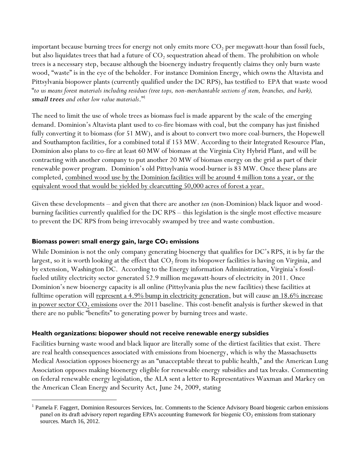important because burning trees for energy not only emits more  $CO<sub>2</sub>$  per megawatt-hour than fossil fuels, but also liquidates trees that had a future of  $\mathrm{CO}_2$  sequestration ahead of them. The prohibition on whole trees is a necessary step, because although the bioenergy industry frequently claims they only burn waste wood, "waste" is in the eye of the beholder. For instance Dominion Energy, which owns the Altavista and Pittsylvania biopower plants (currently qualified under the DC RPS), has testified to EPA that waste wood "*to us means forest materials including residues (tree tops, non-merchantable sections of stem, branches, and bark), small trees and other low value materials*." 1

The need to limit the use of whole trees as biomass fuel is made apparent by the scale of the emerging demand. Dominion's Altavista plant used to co-fire biomass with coal, but the company has just finished fully converting it to biomass (for 51 MW), and is about to convert two more coal-burners, the Hopewell and Southampton facilities, for a combined total if 153 MW. According to their Integrated Resource Plan, Dominion also plans to co-fire at least 60 MW of biomass at the Virginia City Hybrid Plant, and will be contracting with another company to put another 20 MW of biomass energy on the grid as part of their renewable power program. Dominion's old Pittsylvania wood-burner is 83 MW. Once these plans are completed, combined wood use by the Dominion facilities will be around 4 million tons a year, or the equivalent wood that would be yielded by clearcutting 50,000 acres of forest a year.

Given these developments – and given that there are another *ten* (non-Dominion) black liquor and woodburning facilities currently qualified for the DC RPS – this legislation is the single most effective measure to prevent the DC RPS from being irrevocably swamped by tree and waste combustion.

# **Biomass power: small energy gain, large CO<sup>2</sup> emissions**

 $\overline{a}$ 

While Dominion is not the only company generating bioenergy that qualifies for DC's RPS, it is by far the largest, so it is worth looking at the effect that  $\mathrm{CO}_2$  from its biopower facilities is having on Virginia, and by extension, Washington DC. According to the Energy information Administration, Virginia's fossilfueled utility electricity sector generated 52.9 million megawatt-hours of electricity in 2011. Once Dominion's new bioenergy capacity is all online (Pittsylvania plus the new facilities) these facilities at fulltime operation will represent a 4.9% bump in electricity generation, but will cause an 18.6% increase in power sector  $CO_2$  emissions over the 2011 baseline. This cost-benefit analysis is further skewed in that there are no public "benefits" to generating power by burning trees and waste.

# **Health organizations: biopower should not receive renewable energy subsidies**

Facilities burning waste wood and black liquor are literally some of the dirtiest facilities that exist. There are real health consequences associated with emissions from bioenergy, which is why the Massachusetts Medical Association opposes bioenergy as an "unacceptable threat to public health," and the American Lung Association opposes making bioenergy eligible for renewable energy subsidies and tax breaks. Commenting on federal renewable energy legislation, the ALA sent a letter to Representatives Waxman and Markey on the American Clean Energy and Security Act, June 24, 2009, stating

<sup>&</sup>lt;sup>1</sup> Pamela F. Faggert, Dominion Resources Services, Inc. Comments to the Science Advisory Board biogenic carbon emissions panel on its draft advisory report regarding EPA's accounting framework for biogenic  $CO<sub>2</sub>$  emissions from stationary sources. March 16, 2012.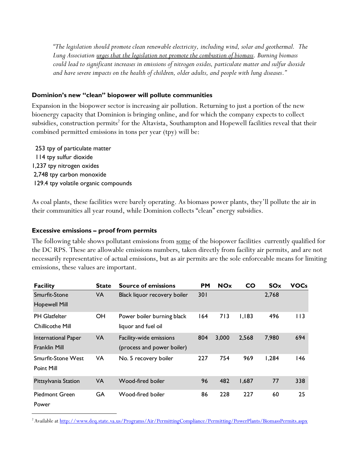*"The legislation should promote clean renewable electricity, including wind, solar and geothermal. The Lung Association urges that the legislation not promote the combustion of biomass. Burning biomass could lead to significant increases in emissions of nitrogen oxides, particulate matter and sulfur dioxide and have severe impacts on the health of children, older adults, and people with lung diseases."*

### **Dominion's new "clean" biopower will pollute communities**

Expansion in the biopower sector is increasing air pollution. Returning to just a portion of the new bioenergy capacity that Dominion is bringing online, and for which the company expects to collect subsidies, construction permits $^2$  for the Altavista, Southampton and Hopewell facilities reveal that their combined permitted emissions in tons per year (tpy) will be:

 253 tpy of particulate matter 114 tpy sulfur dioxide 1,237 tpy nitrogen oxides 2,748 tpy carbon monoxide 129.4 tpy volatile organic compounds

As coal plants, these facilities were barely operating. As biomass power plants, they'll pollute the air in their communities all year round, while Dominion collects "clean" energy subsidies.

#### **Excessive emissions – proof from permits**

The following table shows pollutant emissions from <u>some</u> of the biopower facilities currently qualified for the DC RPS. These are allowable emissions numbers, taken directly from facility air permits, and are not necessarily representative of actual emissions, but as air permits are the sole enforceable means for limiting emissions, these values are important.

| <b>Facility</b>                             | State     | <b>Source of emissions</b>                            | <b>PM</b> | <b>NOx</b> | <b>CO</b> | <b>SO<sub>x</sub></b> | <b>VOCs</b> |
|---------------------------------------------|-----------|-------------------------------------------------------|-----------|------------|-----------|-----------------------|-------------|
| Smurfit-Stone<br><b>Hopewell Mill</b>       | <b>VA</b> | Black liquor recovery boiler                          | 301       |            |           | 2,768                 |             |
| <b>PH Glatfelter</b><br>Chillicothe Mill    | OH        | Power boiler burning black<br>liquor and fuel oil     | 164       | 713        | 1,183     | 496                   | 113         |
| International Paper<br><b>Franklin Mill</b> | <b>VA</b> | Facility-wide emissions<br>(process and power boiler) | 804       | 3,000      | 2,568     | 7,980                 | 694         |
| <b>Smurfit-Stone West</b><br>Point Mill     | VA        | No. 5 recovery boiler                                 | 227       | 754        | 969       | 1,284                 | 146         |
| Pittsylvania Station                        | VA        | Wood-fired boiler                                     | 96        | 482        | 1,687     | 77                    | 338         |
| <b>Piedmont Green</b><br>Power              | <b>GA</b> | Wood-fired boiler                                     | 86        | 228        | 227       | 60                    | 25          |

 <sup>2</sup> Available a[t http://www.deq.state.va.us/Programs/Air/PermittingCompliance/Permitting/PowerPlants/BiomassPermits.aspx](http://www.deq.state.va.us/Programs/Air/PermittingCompliance/Permitting/PowerPlants/BiomassPermits.aspx)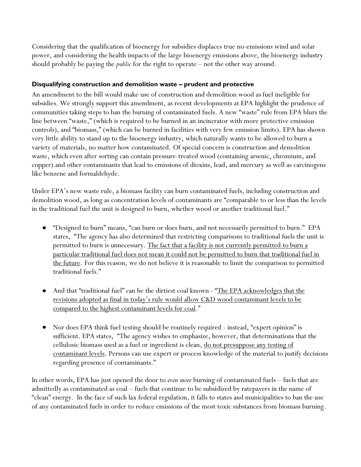Considering that the qualification of bioenergy for subsidies displaces true no-emissions wind and solar power, and considering the health impacts of the large bioenergy emissions above, the bioenergy industry should probably be paying the *public* for the right to operate – not the other way around.

### **Disqualifying construction and demolition waste – prudent and protective**

An amendment to the bill would make use of construction and demolition wood as fuel ineligible for subsidies. We strongly support this amendment, as recent developments at EPA highlight the prudence of communities taking steps to ban the burning of contaminated fuels. A new "waste" rule from EPA blurs the line between "waste," (which is required to be burned in an incinerator with more protective emission controls), and "biomass," (which can be burned in facilities with very few emission limits). EPA has shown very little ability to stand up to the bioenergy industry, which naturally wants to be allowed to burn a variety of materials, no matter how contaminated. Of special concern is construction and demolition waste, which even after sorting can contain pressure-treated wood (containing arsenic, chromium, and copper) and other contaminants that lead to emissions of dioxins, lead, and mercury as well as carcinogens like benzene and formaldehyde.

Under EPA's new waste rule, a biomass facility can burn contaminated fuels, including construction and demolition wood, as long as concentration levels of contaminants are "comparable to or less than the levels in the traditional fuel the unit is designed to burn, whether wood or another traditional fuel."

- "Designed to burn" means, "can burn or does burn, and not necessarily permitted to burn." EPA states, "The agency has also determined that restricting comparisons to traditional fuels the unit is permitted to burn is unnecessary. The fact that a facility is not currently permitted to burn a particular traditional fuel does not mean it could not be permitted to burn that traditional fuel in the future. For this reason, we do not believe it is reasonable to limit the comparison to permitted traditional fuels."
- And that "traditional fuel" can be the dirtiest coal known "The EPA acknowledges that the revisions adopted as final in today's rule would allow C&D wood contaminant levels to be compared to the highest contaminant levels for coal."
- Nor does EPA think fuel testing should be routinely required instead, "expert opinion" is sufficient. EPA states, "The agency wishes to emphasize, however, that determinations that the cellulosic biomass used as a fuel or ingredient is clean, do not presuppose any testing of contaminant levels. Persons can use expert or process knowledge of the material to justify decisions regarding presence of contaminants."

In other words, EPA has just opened the door to *even more* burning of contaminated fuels – fuels that are admittedly as contaminated as coal – fuels that continue to be subsidized by ratepayers in the name of "clean" energy. In the face of such lax federal regulation, it falls to states and municipalities to ban the use of any contaminated fuels in order to reduce emissions of the most toxic substances from biomass burning.